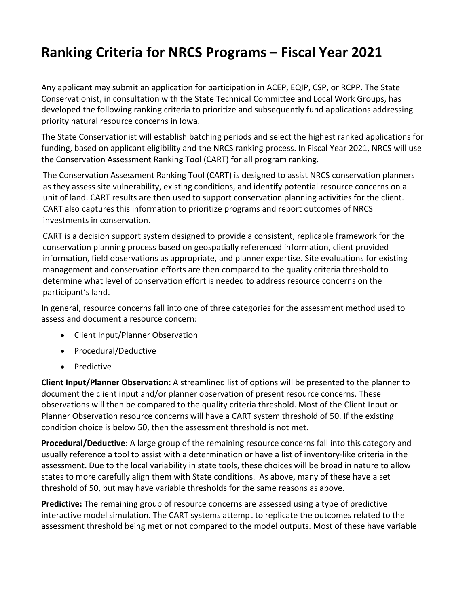## **Ranking Criteria for NRCS Programs – Fiscal Year 2021**

Any applicant may submit an application for participation in ACEP, EQIP, CSP, or RCPP. The State Conservationist, in consultation with the State Technical Committee and Local Work Groups, has developed the following ranking criteria to prioritize and subsequently fund applications addressing priority natural resource concerns in Iowa.

The State Conservationist will establish batching periods and select the highest ranked applications for funding, based on applicant eligibility and the NRCS ranking process. In Fiscal Year 2021, NRCS will use the Conservation Assessment Ranking Tool (CART) for all program ranking.

The Conservation Assessment Ranking Tool (CART) is designed to assist NRCS conservation planners as they assess site vulnerability, existing conditions, and identify potential resource concerns on a unit of land. CART results are then used to support conservation planning activities for the client. CART also captures this information to prioritize programs and report outcomes of NRCS investments in conservation.

CART is a decision support system designed to provide a consistent, replicable framework for the conservation planning process based on geospatially referenced information, client provided information, field observations as appropriate, and planner expertise. Site evaluations for existing management and conservation efforts are then compared to the quality criteria threshold to determine what level of conservation effort is needed to address resource concerns on the participant's land.

In general, resource concerns fall into one of three categories for the assessment method used to assess and document a resource concern:

- Client Input/Planner Observation
- Procedural/Deductive
- **Predictive**

**Client Input/Planner Observation:** A streamlined list of options will be presented to the planner to document the client input and/or planner observation of present resource concerns. These observations will then be compared to the quality criteria threshold. Most of the Client Input or Planner Observation resource concerns will have a CART system threshold of 50. If the existing condition choice is below 50, then the assessment threshold is not met.

**Procedural/Deductive**: A large group of the remaining resource concerns fall into this category and usually reference a tool to assist with a determination or have a list of inventory-like criteria in the assessment. Due to the local variability in state tools, these choices will be broad in nature to allow states to more carefully align them with State conditions. As above, many of these have a set threshold of 50, but may have variable thresholds for the same reasons as above.

**Predictive:** The remaining group of resource concerns are assessed using a type of predictive interactive model simulation. The CART systems attempt to replicate the outcomes related to the assessment threshold being met or not compared to the model outputs. Most of these have variable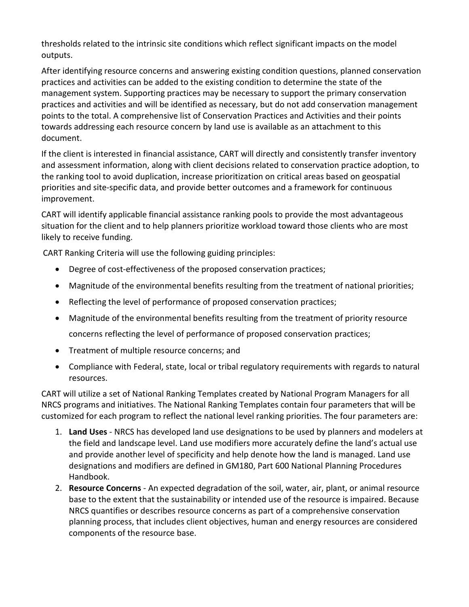thresholds related to the intrinsic site conditions which reflect significant impacts on the model outputs.

After identifying resource concerns and answering existing condition questions, planned conservation practices and activities can be added to the existing condition to determine the state of the management system. Supporting practices may be necessary to support the primary conservation practices and activities and will be identified as necessary, but do not add conservation management points to the total. A comprehensive list of Conservation Practices and Activities and their points towards addressing each resource concern by land use is available as an attachment to this document.

If the client is interested in financial assistance, CART will directly and consistently transfer inventory and assessment information, along with client decisions related to conservation practice adoption, to the ranking tool to avoid duplication, increase prioritization on critical areas based on geospatial priorities and site-specific data, and provide better outcomes and a framework for continuous improvement.

CART will identify applicable financial assistance ranking pools to provide the most advantageous situation for the client and to help planners prioritize workload toward those clients who are most likely to receive funding.

CART Ranking Criteria will use the following guiding principles:

- Degree of cost-effectiveness of the proposed conservation practices;
- Magnitude of the environmental benefits resulting from the treatment of national priorities;
- Reflecting the level of performance of proposed conservation practices;
- Magnitude of the environmental benefits resulting from the treatment of priority resource concerns reflecting the level of performance of proposed conservation practices;
- Treatment of multiple resource concerns; and
- Compliance with Federal, state, local or tribal regulatory requirements with regards to natural resources.

CART will utilize a set of National Ranking Templates created by National Program Managers for all NRCS programs and initiatives. The National Ranking Templates contain four parameters that will be customized for each program to reflect the national level ranking priorities. The four parameters are:

- 1. **Land Uses** NRCS has developed land use designations to be used by planners and modelers at the field and landscape level. Land use modifiers more accurately define the land's actual use and provide another level of specificity and help denote how the land is managed. Land use designations and modifiers are defined in GM180, Part 600 National Planning Procedures Handbook.
- 2. **Resource Concerns**  An expected degradation of the soil, water, air, plant, or animal resource base to the extent that the sustainability or intended use of the resource is impaired. Because NRCS quantifies or describes resource concerns as part of a comprehensive conservation planning process, that includes client objectives, human and energy resources are considered components of the resource base.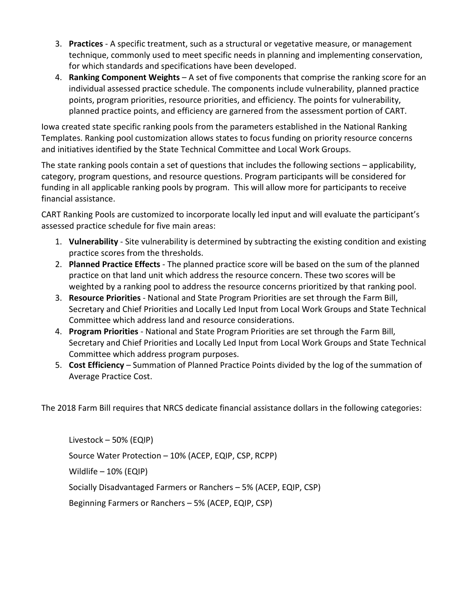- 3. **Practices** A specific treatment, such as a structural or vegetative measure, or management technique, commonly used to meet specific needs in planning and implementing conservation, for which standards and specifications have been developed.
- 4. **Ranking Component Weights** A set of five components that comprise the ranking score for an individual assessed practice schedule. The components include vulnerability, planned practice points, program priorities, resource priorities, and efficiency. The points for vulnerability, planned practice points, and efficiency are garnered from the assessment portion of CART.

Iowa created state specific ranking pools from the parameters established in the National Ranking Templates. Ranking pool customization allows states to focus funding on priority resource concerns and initiatives identified by the State Technical Committee and Local Work Groups.

The state ranking pools contain a set of questions that includes the following sections – applicability, category, program questions, and resource questions. Program participants will be considered for funding in all applicable ranking pools by program. This will allow more for participants to receive financial assistance.

CART Ranking Pools are customized to incorporate locally led input and will evaluate the participant's assessed practice schedule for five main areas:

- 1. **Vulnerability**  Site vulnerability is determined by subtracting the existing condition and existing practice scores from the thresholds.
- 2. **Planned Practice Effects** The planned practice score will be based on the sum of the planned practice on that land unit which address the resource concern. These two scores will be weighted by a ranking pool to address the resource concerns prioritized by that ranking pool.
- 3. **Resource Priorities** National and State Program Priorities are set through the Farm Bill, Secretary and Chief Priorities and Locally Led Input from Local Work Groups and State Technical Committee which address land and resource considerations.
- 4. **Program Priorities** National and State Program Priorities are set through the Farm Bill, Secretary and Chief Priorities and Locally Led Input from Local Work Groups and State Technical Committee which address program purposes.
- 5. **Cost Efficiency** Summation of Planned Practice Points divided by the log of the summation of Average Practice Cost.

The 2018 Farm Bill requires that NRCS dedicate financial assistance dollars in the following categories:

Livestock – 50% (EQIP) Source Water Protection – 10% (ACEP, EQIP, CSP, RCPP) Wildlife – 10% (EQIP) Socially Disadvantaged Farmers or Ranchers – 5% (ACEP, EQIP, CSP) Beginning Farmers or Ranchers – 5% (ACEP, EQIP, CSP)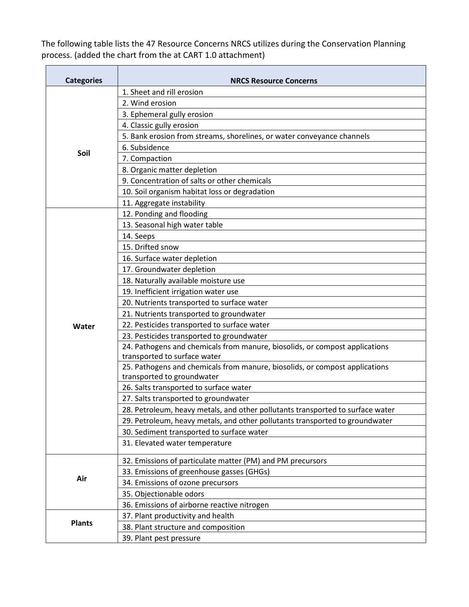The following table lists the 47 Resource Concerns NRCS utilizes during the Conservation Planning process. (added the chart from the at CART 1.0 attachment)

| <b>Categories</b> | <b>NRCS Resource Concerns</b>                                                  |
|-------------------|--------------------------------------------------------------------------------|
| Soil              | 1. Sheet and rill erosion                                                      |
|                   | 2. Wind erosion                                                                |
|                   | 3. Ephemeral gully erosion                                                     |
|                   | 4. Classic gully erosion                                                       |
|                   | 5. Bank erosion from streams, shorelines, or water conveyance channels         |
|                   | 6. Subsidence                                                                  |
|                   | 7. Compaction                                                                  |
|                   | 8. Organic matter depletion                                                    |
|                   | 9. Concentration of salts or other chemicals                                   |
|                   | 10. Soil organism habitat loss or degradation                                  |
|                   | 11. Aggregate instability                                                      |
| Water             | 12. Ponding and flooding                                                       |
|                   | 13. Seasonal high water table                                                  |
|                   | 14. Seeps                                                                      |
|                   | 15. Drifted snow                                                               |
|                   | 16. Surface water depletion                                                    |
|                   | 17. Groundwater depletion                                                      |
|                   | 18. Naturally available moisture use                                           |
|                   | 19. Inefficient irrigation water use                                           |
|                   | 20. Nutrients transported to surface water                                     |
|                   | 21. Nutrients transported to groundwater                                       |
|                   | 22. Pesticides transported to surface water                                    |
|                   | 23. Pesticides transported to groundwater                                      |
|                   | 24. Pathogens and chemicals from manure, biosolids, or compost applications    |
|                   | transported to surface water                                                   |
|                   | 25. Pathogens and chemicals from manure, biosolids, or compost applications    |
|                   | transported to groundwater                                                     |
|                   | 26. Salts transported to surface water                                         |
|                   | 27. Salts transported to groundwater                                           |
|                   | 28. Petroleum, heavy metals, and other pollutants transported to surface water |
|                   | 29. Petroleum, heavy metals, and other pollutants transported to groundwater   |
|                   | 30. Sediment transported to surface water                                      |
|                   | 31. Elevated water temperature                                                 |
| Air               | 32. Emissions of particulate matter (PM) and PM precursors                     |
|                   | 33. Emissions of greenhouse gasses (GHGs)                                      |
|                   | 34. Emissions of ozone precursors                                              |
|                   | 35. Objectionable odors                                                        |
|                   | 36. Emissions of airborne reactive nitrogen                                    |
| <b>Plants</b>     | 37. Plant productivity and health                                              |
|                   | 38. Plant structure and composition                                            |
|                   | 39. Plant pest pressure                                                        |